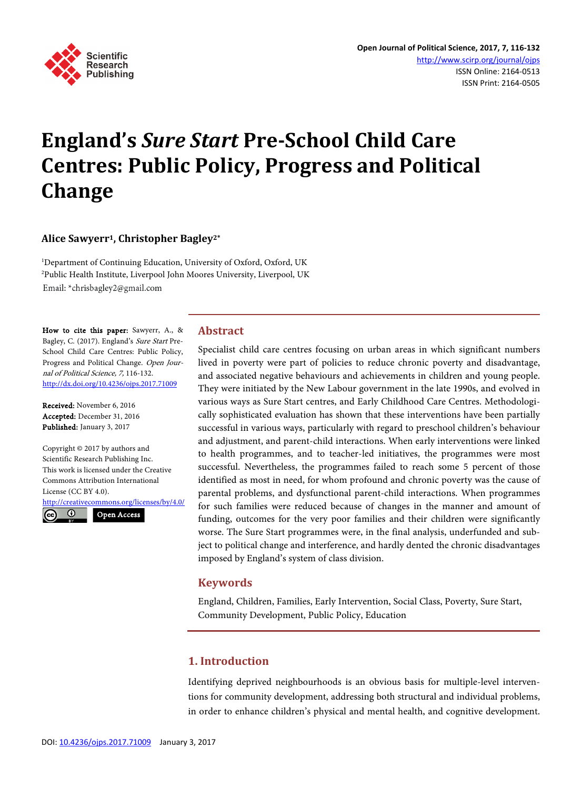

# **England's** *Sure Start* **Pre-School Child Care Centres: Public Policy, Progress and Political Change**

#### **Alice Sawyerr1, Christopher Bagley2\***

1 Department of Continuing Education, University of Oxford, Oxford, UK 2 Public Health Institute, Liverpool John Moores University, Liverpool, UK Email: \* chrisbagley2@gmail.com

How to cite this paper: Sawyerr, A., & Bagley, C. (2017). England's Sure Start Pre-School Child Care Centres: Public Policy, Progress and Political Change. Open Journal of Political Science, 7, 116-132. <http://dx.doi.org/10.4236/ojps.2017.71009>

Received: November 6, 2016 Accepted: December 31, 2016 Published: January 3, 2017

Copyright © 2017 by authors and Scientific Research Publishing Inc. This work is licensed under the Creative Commons Attribution International License (CC BY 4.0).

<http://creativecommons.org/licenses/by/4.0/> Open Access

 $\odot$ 

**Abstract**

Specialist child care centres focusing on urban areas in which significant numbers lived in poverty were part of policies to reduce chronic poverty and disadvantage, and associated negative behaviours and achievements in children and young people. They were initiated by the New Labour government in the late 1990s, and evolved in various ways as Sure Start centres, and Early Childhood Care Centres. Methodologically sophisticated evaluation has shown that these interventions have been partially successful in various ways, particularly with regard to preschool children's behaviour and adjustment, and parent-child interactions. When early interventions were linked to health programmes, and to teacher-led initiatives, the programmes were most successful. Nevertheless, the programmes failed to reach some 5 percent of those identified as most in need, for whom profound and chronic poverty was the cause of parental problems, and dysfunctional parent-child interactions. When programmes for such families were reduced because of changes in the manner and amount of funding, outcomes for the very poor families and their children were significantly worse. The Sure Start programmes were, in the final analysis, underfunded and subject to political change and interference, and hardly dented the chronic disadvantages imposed by England's system of class division.

#### **Keywords**

England, Children, Families, Early Intervention, Social Class, Poverty, Sure Start, Community Development, Public Policy, Education

## **1. Introduction**

Identifying deprived neighbourhoods is an obvious basis for multiple-level interventions for community development, addressing both structural and individual problems, in order to enhance children's physical and mental health, and cognitive development.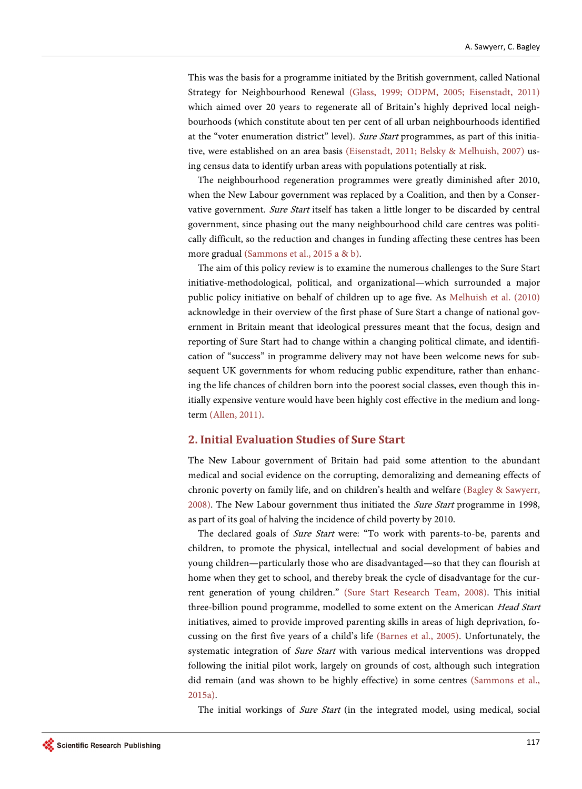This was the basis for a programme initiated by the British government, called National Strategy for Neighbourhood Renewal [\(Glass, 1999;](#page-15-0) [ODPM, 2005;](#page-16-0) [Eisenstadt, 2011\)](#page-14-0) which aimed over 20 years to regenerate all of Britain's highly deprived local neighbourhoods (which constitute about ten per cent of all urban neighbourhoods identified at the "voter enumeration district" level). Sure Start programmes, as part of this initiative, were established on an area basis [\(Eisenstadt, 2011;](#page-14-0) [Belsky & Melhuish, 2007\)](#page-14-1) using census data to identify urban areas with populations potentially at risk.

The neighbourhood regeneration programmes were greatly diminished after 2010, when the New Labour government was replaced by a Coalition, and then by a Conservative government. Sure Start itself has taken a little longer to be discarded by central government, since phasing out the many neighbourhood child care centres was politically difficult, so the reduction and changes in funding affecting these centres has been more gradual [\(Sammons et al., 2015](#page-16-1) a & b).

The aim of this policy review is to examine the numerous challenges to the Sure Start initiative-methodological, political, and organizational—which surrounded a major public policy initiative on behalf of children up to age five. As [Melhuish et al.](#page-16-2) (2010) acknowledge in their overview of the first phase of Sure Start a change of national government in Britain meant that ideological pressures meant that the focus, design and reporting of Sure Start had to change within a changing political climate, and identification of "success" in programme delivery may not have been welcome news for subsequent UK governments for whom reducing public expenditure, rather than enhancing the life chances of children born into the poorest social classes, even though this initially expensive venture would have been highly cost effective in the medium and longter[m \(Allen, 2011\).](#page-13-0)

#### **2. Initial Evaluation Studies of Sure Start**

The New Labour government of Britain had paid some attention to the abundant medical and social evidence on the corrupting, demoralizing and demeaning effects of chronic poverty on family life, and on children's health and welfare [\(Bagley & Sawyerr,](#page-13-1)  [2008\).](#page-13-1) The New Labour government thus initiated the Sure Start programme in 1998, as part of its goal of halving the incidence of child poverty by 2010.

The declared goals of *Sure Start* were: "To work with parents-to-be, parents and children, to promote the physical, intellectual and social development of babies and young children—particularly those who are disadvantaged—so that they can flourish at home when they get to school, and thereby break the cycle of disadvantage for the current generation of young children." [\(Sure Start Research Team, 2008\).](#page-16-3) This initial three-billion pound programme, modelled to some extent on the American Head Start initiatives, aimed to provide improved parenting skills in areas of high deprivation, focussing on the first five years of a child's life [\(Barnes et al., 2005\).](#page-13-2) Unfortunately, the systematic integration of *Sure Start* with various medical interventions was dropped following the initial pilot work, largely on grounds of cost, although such integration did remain (and was shown to be highly effective) in some centres [\(Sammons et al.,](#page-16-1)  [2015a\).](#page-16-1)

The initial workings of *Sure Start* (in the integrated model, using medical, social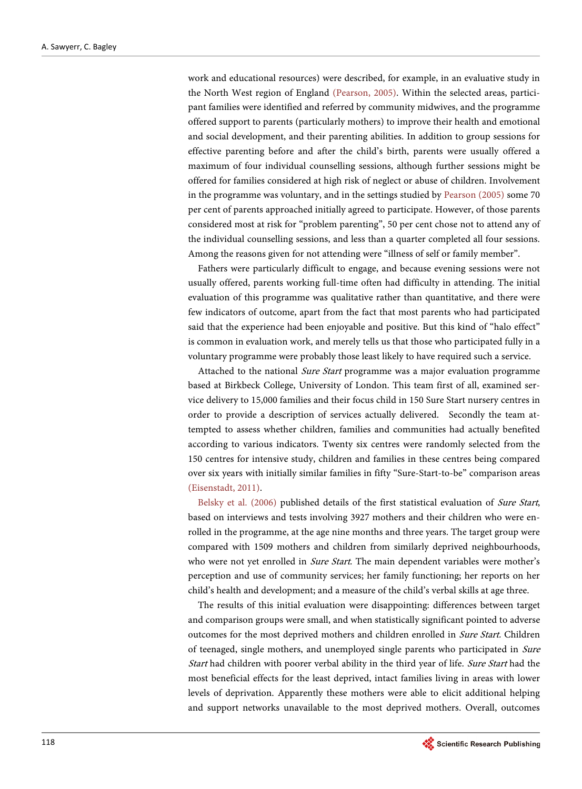work and educational resources) were described, for example, in an evaluative study in the North West region of England [\(Pearson, 2005\).](#page-16-4) Within the selected areas, participant families were identified and referred by community midwives, and the programme offered support to parents (particularly mothers) to improve their health and emotional and social development, and their parenting abilities. In addition to group sessions for effective parenting before and after the child's birth, parents were usually offered a maximum of four individual counselling sessions, although further sessions might be offered for families considered at high risk of neglect or abuse of children. Involvement in the programme was voluntary, and in the settings studied by [Pearson \(2005\)](#page-16-4) some 70 per cent of parents approached initially agreed to participate. However, of those parents considered most at risk for "problem parenting", 50 per cent chose not to attend any of the individual counselling sessions, and less than a quarter completed all four sessions. Among the reasons given for not attending were "illness of self or family member".

Fathers were particularly difficult to engage, and because evening sessions were not usually offered, parents working full-time often had difficulty in attending. The initial evaluation of this programme was qualitative rather than quantitative, and there were few indicators of outcome, apart from the fact that most parents who had participated said that the experience had been enjoyable and positive. But this kind of "halo effect" is common in evaluation work, and merely tells us that those who participated fully in a voluntary programme were probably those least likely to have required such a service.

Attached to the national *Sure Start* programme was a major evaluation programme based at Birkbeck College, University of London. This team first of all, examined service delivery to 15,000 families and their focus child in 150 Sure Start nursery centres in order to provide a description of services actually delivered. Secondly the team attempted to assess whether children, families and communities had actually benefited according to various indicators. Twenty six centres were randomly selected from the 150 centres for intensive study, children and families in these centres being compared over six years with initially similar families in fifty "Sure-Start-to-be" comparison areas [\(Eisenstadt, 2011\).](#page-14-0)

[Belsky et al. \(2006\)](#page-14-2) published details of the first statistical evaluation of Sure Start, based on interviews and tests involving 3927 mothers and their children who were enrolled in the programme, at the age nine months and three years. The target group were compared with 1509 mothers and children from similarly deprived neighbourhoods, who were not yet enrolled in *Sure Start*. The main dependent variables were mother's perception and use of community services; her family functioning; her reports on her child's health and development; and a measure of the child's verbal skills at age three.

The results of this initial evaluation were disappointing: differences between target and comparison groups were small, and when statistically significant pointed to adverse outcomes for the most deprived mothers and children enrolled in Sure Start. Children of teenaged, single mothers, and unemployed single parents who participated in *Sure* Start had children with poorer verbal ability in the third year of life. Sure Start had the most beneficial effects for the least deprived, intact families living in areas with lower levels of deprivation. Apparently these mothers were able to elicit additional helping and support networks unavailable to the most deprived mothers. Overall, outcomes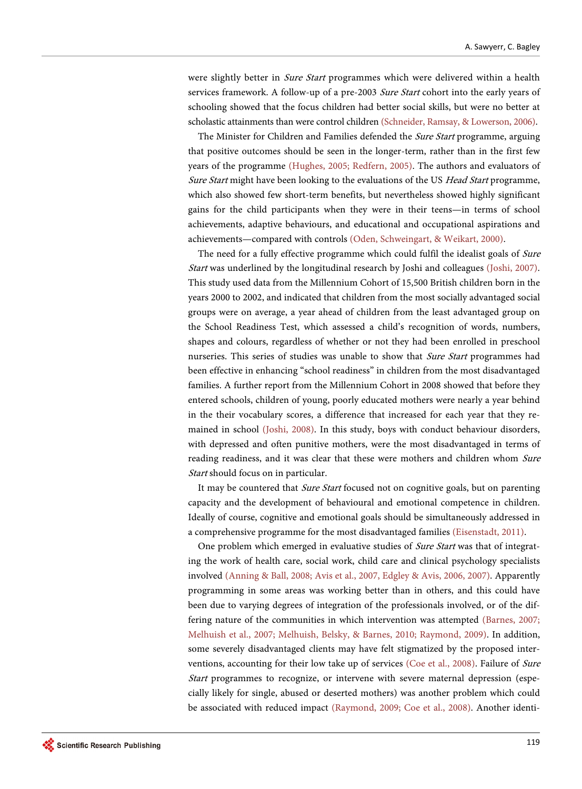were slightly better in *Sure Start* programmes which were delivered within a health services framework. A follow-up of a pre-2003 Sure Start cohort into the early years of schooling showed that the focus children had better social skills, but were no better at scholastic attainments than were control children [\(Schneider, Ramsay,](#page-16-5) & Lowerson, 2006).

The Minister for Children and Families defended the Sure Start programme, arguing that positive outcomes should be seen in the longer-term, rather than in the first few years of the programme [\(Hughes, 2005;](#page-15-1) [Redfern, 2005\).](#page-16-6) The authors and evaluators of Sure Start might have been looking to the evaluations of the US Head Start programme, which also showed few short-term benefits, but nevertheless showed highly significant gains for the child participants when they were in their teens—in terms of school achievements, adaptive behaviours, and educational and occupational aspirations and achievements—compared with controls [\(Oden, Schweingart,](#page-16-7) & Weikart, 2000).

The need for a fully effective programme which could fulfil the idealist goals of Sure Start was underlined by the longitudinal research by Joshi and colleagues [\(Joshi, 2007\).](#page-15-2)  This study used data from the Millennium Cohort of 15,500 British children born in the years 2000 to 2002, and indicated that children from the most socially advantaged social groups were on average, a year ahead of children from the least advantaged group on the School Readiness Test, which assessed a child's recognition of words, numbers, shapes and colours, regardless of whether or not they had been enrolled in preschool nurseries. This series of studies was unable to show that Sure Start programmes had been effective in enhancing "school readiness" in children from the most disadvantaged families. A further report from the Millennium Cohort in 2008 showed that before they entered schools, children of young, poorly educated mothers were nearly a year behind in the their vocabulary scores, a difference that increased for each year that they remained in school [\(Joshi, 2008\).](#page-15-3) In this study, boys with conduct behaviour disorders, with depressed and often punitive mothers, were the most disadvantaged in terms of reading readiness, and it was clear that these were mothers and children whom Sure Start should focus on in particular.

It may be countered that *Sure Start* focused not on cognitive goals, but on parenting capacity and the development of behavioural and emotional competence in children. Ideally of course, cognitive and emotional goals should be simultaneously addressed in a comprehensive programme for the most disadvantaged families [\(Eisenstadt, 2011\).](#page-14-0)

One problem which emerged in evaluative studies of *Sure Start* was that of integrating the work of health care, social work, child care and clinical psychology specialists involved [\(Anning & Ball, 2008;](#page-13-3) [Avis et al., 2007,](#page-13-4) [Edgley & Avis, 2006,](#page-14-3) 2007). Apparently programming in some areas was working better than in others, and this could have been due to varying degrees of integration of the professionals involved, or of the differing nature of the communities in which intervention was attempted [\(Barnes, 2007;](#page-14-4) [Melhuish et al., 2007;](#page-15-4) [Melhuish, Belsky,](#page-15-5) & Barnes, 2010; [Raymond, 2009\).](#page-16-8) In addition, some severely disadvantaged clients may have felt stigmatized by the proposed inter-ventions, accounting for their low take up of services [\(Coe et al., 2008\).](#page-14-5) Failure of Sure Start programmes to recognize, or intervene with severe maternal depression (especially likely for single, abused or deserted mothers) was another problem which could be associated with reduced impact [\(Raymond, 2009;](#page-16-8) [Coe et al., 2008\).](#page-14-5) Another identi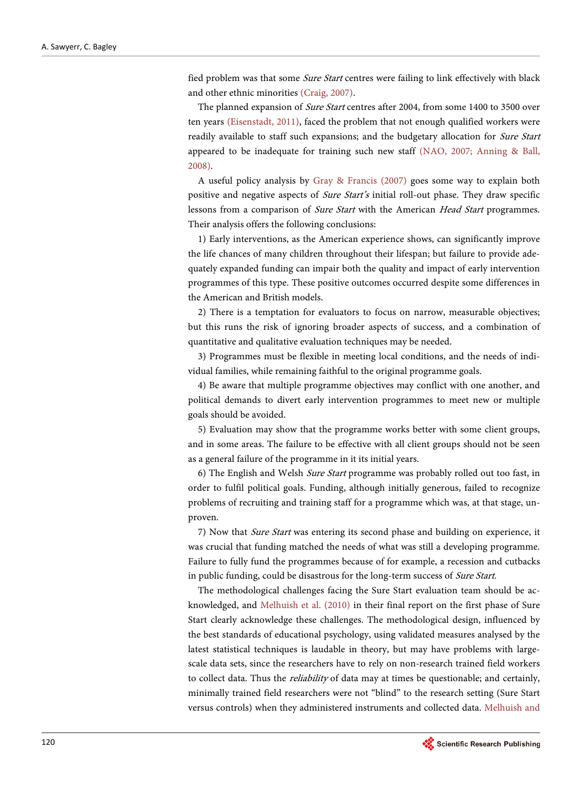fied problem was that some Sure Start centres were failing to link effectively with black and other ethnic minoritie[s \(Craig, 2007\).](#page-14-6)

The planned expansion of *Sure Start* centres after 2004, from some 1400 to 3500 over ten years [\(Eisenstadt, 2011\),](#page-14-0) faced the problem that not enough qualified workers were readily available to staff such expansions; and the budgetary allocation for Sure Start appeared to be inadequate for training such new staff [\(NAO, 2007;](#page-16-9) [Anning & Ball,](#page-13-3)  [2008\).](#page-13-3)

A useful policy analysis by [Gray & Francis \(2007\)](#page-15-6) goes some way to explain both positive and negative aspects of *Sure Start's* initial roll-out phase. They draw specific lessons from a comparison of *Sure Start* with the American *Head Start* programmes. Their analysis offers the following conclusions:

1) Early interventions, as the American experience shows, can significantly improve the life chances of many children throughout their lifespan; but failure to provide adequately expanded funding can impair both the quality and impact of early intervention programmes of this type. These positive outcomes occurred despite some differences in the American and British models.

2) There is a temptation for evaluators to focus on narrow, measurable objectives; but this runs the risk of ignoring broader aspects of success, and a combination of quantitative and qualitative evaluation techniques may be needed.

3) Programmes must be flexible in meeting local conditions, and the needs of individual families, while remaining faithful to the original programme goals.

4) Be aware that multiple programme objectives may conflict with one another, and political demands to divert early intervention programmes to meet new or multiple goals should be avoided.

5) Evaluation may show that the programme works better with some client groups, and in some areas. The failure to be effective with all client groups should not be seen as a general failure of the programme in it its initial years.

6) The English and Welsh Sure Start programme was probably rolled out too fast, in order to fulfil political goals. Funding, although initially generous, failed to recognize problems of recruiting and training staff for a programme which was, at that stage, unproven.

7) Now that Sure Start was entering its second phase and building on experience, it was crucial that funding matched the needs of what was still a developing programme. Failure to fully fund the programmes because of for example, a recession and cutbacks in public funding, could be disastrous for the long-term success of Sure Start.

The methodological challenges facing the Sure Start evaluation team should be acknowledged, and [Melhuish et al. \(2010\)](#page-16-2) in their final report on the first phase of Sure Start clearly acknowledge these challenges. The methodological design, influenced by the best standards of educational psychology, using validated measures analysed by the latest statistical techniques is laudable in theory, but may have problems with largescale data sets, since the researchers have to rely on non-research trained field workers to collect data. Thus the *reliability* of data may at times be questionable; and certainly, minimally trained field researchers were not "blind" to the research setting (Sure Start versus controls) when they administered instruments and collected data. [Melhuish and](#page-15-5)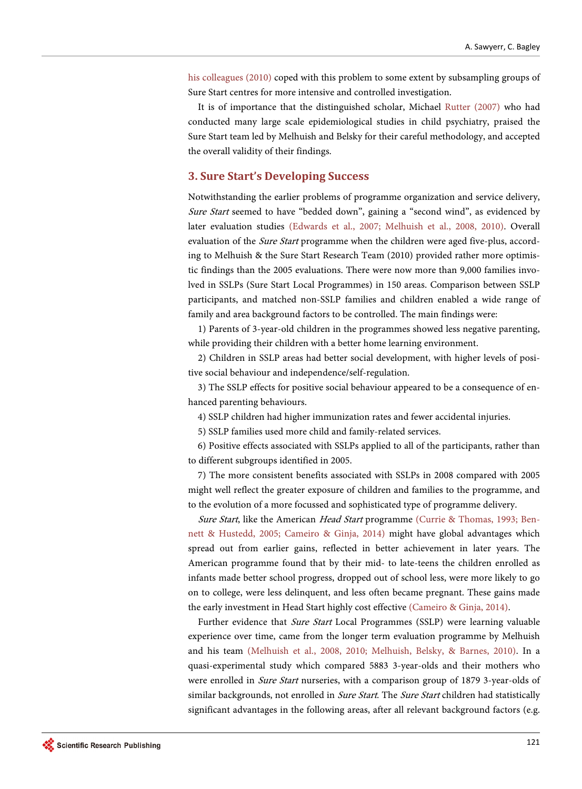his colleagues (2010) coped with this problem to some extent by subsampling groups of Sure Start centres for more intensive and controlled investigation.

It is of importance that the distinguished scholar, Michael [Rutter \(2007\)](#page-16-10) who had conducted many large scale epidemiological studies in child psychiatry, praised the Sure Start team led by Melhuish and Belsky for their careful methodology, and accepted the overall validity of their findings.

#### **3. Sure Start's Developing Success**

Notwithstanding the earlier problems of programme organization and service delivery, Sure Start seemed to have "bedded down", gaining a "second wind", as evidenced by later evaluation studies [\(Edwards et al., 2007;](#page-14-7) [Melhuish et al., 2008,](#page-15-7) 2010). Overall evaluation of the *Sure Start* programme when the children were aged five-plus, according to Melhuish & the Sure Start Research Team (2010) provided rather more optimistic findings than the 2005 evaluations. There were now more than 9,000 families involved in SSLPs (Sure Start Local Programmes) in 150 areas. Comparison between SSLP participants, and matched non-SSLP families and children enabled a wide range of family and area background factors to be controlled. The main findings were:

1) Parents of 3-year-old children in the programmes showed less negative parenting, while providing their children with a better home learning environment.

2) Children in SSLP areas had better social development, with higher levels of positive social behaviour and independence/self-regulation.

3) The SSLP effects for positive social behaviour appeared to be a consequence of enhanced parenting behaviours.

4) SSLP children had higher immunization rates and fewer accidental injuries.

5) SSLP families used more child and family-related services.

6) Positive effects associated with SSLPs applied to all of the participants, rather than to different subgroups identified in 2005.

7) The more consistent benefits associated with SSLPs in 2008 compared with 2005 might well reflect the greater exposure of children and families to the programme, and to the evolution of a more focussed and sophisticated type of programme delivery.

Sure Start, like the American *Head Start* programme [\(Currie & Thomas, 1993;](#page-14-8) [Ben](#page-14-9)nett & [Hustedd, 2005;](#page-14-9) [Cameiro & Ginja, 2014\)](#page-14-10) might have global advantages which spread out from earlier gains, reflected in better achievement in later years. The American programme found that by their mid- to late-teens the children enrolled as infants made better school progress, dropped out of school less, were more likely to go on to college, were less delinquent, and less often became pregnant. These gains made the early investment in Head Start highly cost effective [\(Cameiro & Ginja, 2014\).](#page-14-10)

Further evidence that Sure Start Local Programmes (SSLP) were learning valuable experience over time, came from the longer term evaluation programme by Melhuish and his team [\(Melhuish et al.,](#page-15-7) 2008, 2010; [Melhuish, Belsky,](#page-15-5) & Barnes, 2010). In a quasi-experimental study which compared 5883 3-year-olds and their mothers who were enrolled in Sure Start nurseries, with a comparison group of 1879 3-year-olds of similar backgrounds, not enrolled in Sure Start. The Sure Start children had statistically significant advantages in the following areas, after all relevant background factors (e.g.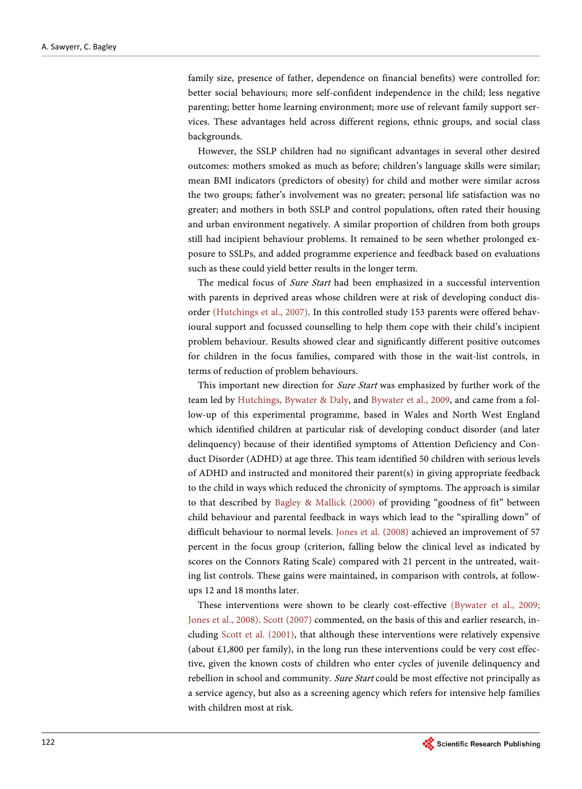family size, presence of father, dependence on financial benefits) were controlled for: better social behaviours; more self-confident independence in the child; less negative parenting; better home learning environment; more use of relevant family support services. These advantages held across different regions, ethnic groups, and social class backgrounds.

However, the SSLP children had no significant advantages in several other desired outcomes: mothers smoked as much as before; children's language skills were similar; mean BMI indicators (predictors of obesity) for child and mother were similar across the two groups; father's involvement was no greater; personal life satisfaction was no greater; and mothers in both SSLP and control populations, often rated their housing and urban environment negatively. A similar proportion of children from both groups still had incipient behaviour problems. It remained to be seen whether prolonged exposure to SSLPs, and added programme experience and feedback based on evaluations such as these could yield better results in the longer term.

The medical focus of Sure Start had been emphasized in a successful intervention with parents in deprived areas whose children were at risk of developing conduct disorder [\(Hutchings et al., 2007\).](#page-15-8) In this controlled study 153 parents were offered behavioural support and focussed counselling to help them cope with their child's incipient problem behaviour. Results showed clear and significantly different positive outcomes for children in the focus families, compared with those in the wait-list controls, in terms of reduction of problem behaviours.

This important new direction for *Sure Start* was emphasized by further work of the team led by [Hutchings, Bywater & Daly,](#page-15-9) and [Bywater et al., 2009,](#page-14-11) and came from a follow-up of this experimental programme, based in Wales and North West England which identified children at particular risk of developing conduct disorder (and later delinquency) because of their identified symptoms of Attention Deficiency and Conduct Disorder (ADHD) at age three. This team identified 50 children with serious levels of ADHD and instructed and monitored their parent(s) in giving appropriate feedback to the child in ways which reduced the chronicity of symptoms. The approach is similar to that described by [Bagley & Mallick \(2000\)](#page-13-5) of providing "goodness of fit" between child behaviour and parental feedback in ways which lead to the "spiralling down" of difficult behaviour to normal levels. [Jones et al. \(2008\)](#page-15-10) achieved an improvement of 57 percent in the focus group (criterion, falling below the clinical level as indicated by scores on the Connors Rating Scale) compared with 21 percent in the untreated, waiting list controls. These gains were maintained, in comparison with controls, at followups 12 and 18 months later.

These interventions were shown to be clearly cost-effective [\(Bywater et al., 2009;](#page-14-11) [Jones et al., 2008\).](#page-15-10) [Scott \(2007\)](#page-16-11) commented, on the basis of this and earlier research, including [Scott et al. \(2001\),](#page-16-12) that although these interventions were relatively expensive (about  $\text{\pounds}1,800$  per family), in the long run these interventions could be very cost effective, given the known costs of children who enter cycles of juvenile delinquency and rebellion in school and community. Sure Start could be most effective not principally as a service agency, but also as a screening agency which refers for intensive help families with children most at risk.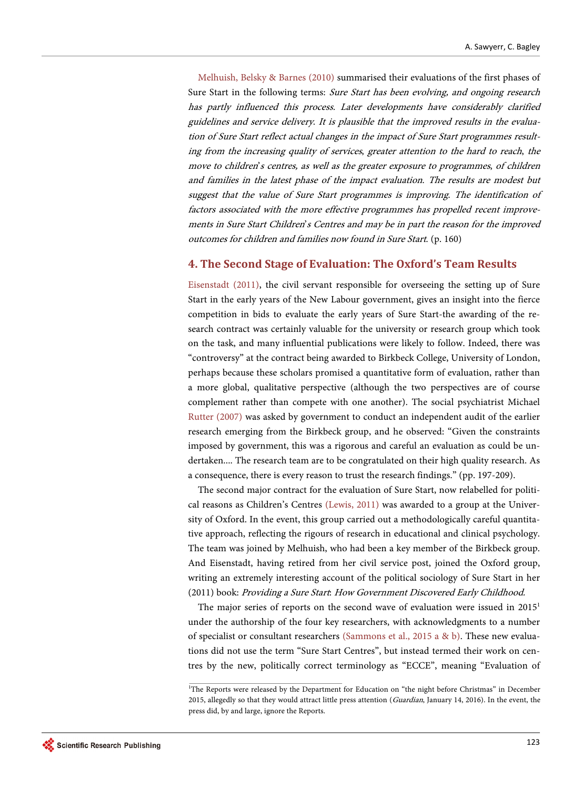[Melhuish, Belsky & Barnes \(2010\)](#page-15-5) summarised their evaluations of the first phases of Sure Start in the following terms: Sure Start has been evolving, and ongoing research has partly influenced this process. Later developments have considerably clarified guidelines and service delivery. It is plausible that the improved results in the evaluation of Sure Start reflect actual changes in the impact of Sure Start programmes resulting from the increasing quality of services, greater attention to the hard to reach, the move to children's centres, as well as the greater exposure to programmes, of children and families in the latest phase of the impact evaluation. The results are modest but suggest that the value of Sure Start programmes is improving. The identification of factors associated with the more effective programmes has propelled recent improvements in Sure Start Children's Centres and may be in part the reason for the improved outcomes for children and families now found in Sure Start. (p. 160)

#### **4. The Second Stage of Evaluation: The Oxford's Team Results**

[Eisenstadt \(2011\),](#page-14-0) the civil servant responsible for overseeing the setting up of Sure Start in the early years of the New Labour government, gives an insight into the fierce competition in bids to evaluate the early years of Sure Start-the awarding of the research contract was certainly valuable for the university or research group which took on the task, and many influential publications were likely to follow. Indeed, there was "controversy" at the contract being awarded to Birkbeck College, University of London, perhaps because these scholars promised a quantitative form of evaluation, rather than a more global, qualitative perspective (although the two perspectives are of course complement rather than compete with one another). The social psychiatrist Michael [Rutter \(2007\)](#page-16-10) was asked by government to conduct an independent audit of the earlier research emerging from the Birkbeck group, and he observed: "Given the constraints imposed by government, this was a rigorous and careful an evaluation as could be undertaken.... The research team are to be congratulated on their high quality research. As a consequence, there is every reason to trust the research findings." (pp. 197-209).

The second major contract for the evaluation of Sure Start, now relabelled for political reasons as Children's Centres [\(Lewis, 2011\)](#page-15-11) was awarded to a group at the University of Oxford. In the event, this group carried out a methodologically careful quantitative approach, reflecting the rigours of research in educational and clinical psychology. The team was joined by Melhuish, who had been a key member of the Birkbeck group. And Eisenstadt, having retired from her civil service post, joined the Oxford group, writing an extremely interesting account of the political sociology of Sure Start in her (2011) book: Providing a Sure Start: How Government Discovered Early Childhood.

The major series of reports on the second wave of evaluation were issued in  $2015<sup>1</sup>$ under the authorship of the four key researchers, with acknowledgments to a number of specialist or consultant researchers [\(Sammons et al., 2015 a](#page-16-1) & b). These new evaluations did not use the term "Sure Start Centres", but instead termed their work on centres by the new, politically correct terminology as "ECCE", meaning "Evaluation of

<sup>&</sup>lt;sup>1</sup>The Reports were released by the Department for Education on "the night before Christmas" in December 2015, allegedly so that they would attract little press attention (Guardian, January 14, 2016). In the event, the press did, by and large, ignore the Reports.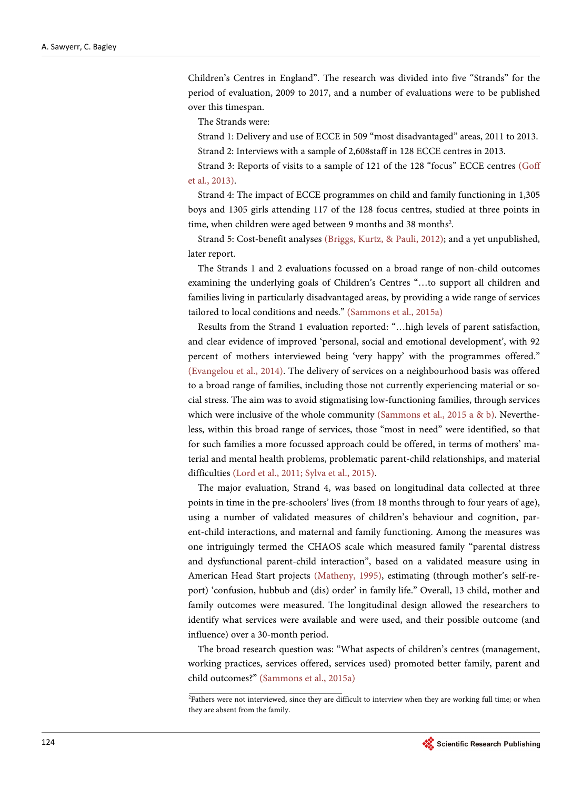Children's Centres in England". The research was divided into five "Strands" for the period of evaluation, 2009 to 2017, and a number of evaluations were to be published over this timespan.

The Strands were:

Strand 1: Delivery and use of ECCE in 509 "most disadvantaged" areas, 2011 to 2013. Strand 2: Interviews with a sample of 2,608staff in 128 ECCE centres in 2013.

Strand 3: Reports of visits to a sample of 121 of the 128 "focus" ECCE centres [\(Goff](#page-15-12)  [et al., 2013\).](#page-15-12)

Strand 4: The impact of ECCE programmes on child and family functioning in 1,305 boys and 1305 girls attending 117 of the 128 focus centres, studied at three points in time, when children were aged between 9 months and 38 months $^2\!$ .

Strand 5: Cost-benefit analyses (Briggs, Kurtz, [& Pauli, 2012\);](#page-14-12) and a yet unpublished, later report.

The Strands 1 and 2 evaluations focussed on a broad range of non-child outcomes examining the underlying goals of Children's Centres "…to support all children and families living in particularly disadvantaged areas, by providing a wide range of services tailored to local conditions and needs." [\(Sammons et al., 2015a\)](#page-16-1)

Results from the Strand 1 evaluation reported: "…high levels of parent satisfaction, and clear evidence of improved 'personal, social and emotional development', with 92 percent of mothers interviewed being 'very happy' with the programmes offered." [\(Evangelou et al., 2014\).](#page-14-13) The delivery of services on a neighbourhood basis was offered to a broad range of families, including those not currently experiencing material or social stress. The aim was to avoid stigmatising low-functioning families, through services which were inclusive of the whole community [\(Sammons et al., 2015](#page-16-1) a & b). Nevertheless, within this broad range of services, those "most in need" were identified, so that for such families a more focussed approach could be offered, in terms of mothers' material and mental health problems, problematic parent-child relationships, and material difficulties [\(Lord et al., 2011;](#page-15-13) [Sylva et al., 2015\).](#page-16-13)

The major evaluation, Strand 4, was based on longitudinal data collected at three points in time in the pre-schoolers' lives (from 18 months through to four years of age), using a number of validated measures of children's behaviour and cognition, parent-child interactions, and maternal and family functioning. Among the measures was one intriguingly termed the CHAOS scale which measured family "parental distress and dysfunctional parent-child interaction", based on a validated measure using in American Head Start projects [\(Matheny, 1995\),](#page-15-14) estimating (through mother's self-report) 'confusion, hubbub and (dis) order' in family life." Overall, 13 child, mother and family outcomes were measured. The longitudinal design allowed the researchers to identify what services were available and were used, and their possible outcome (and influence) over a 30-month period.

The broad research question was: "What aspects of children's centres (management, working practices, services offered, services used) promoted better family, parent and child outcomes?" [\(Sammons et al., 2015a\)](#page-16-1)

<sup>2</sup> Fathers were not interviewed, since they are difficult to interview when they are working full time; or when they are absent from the family.

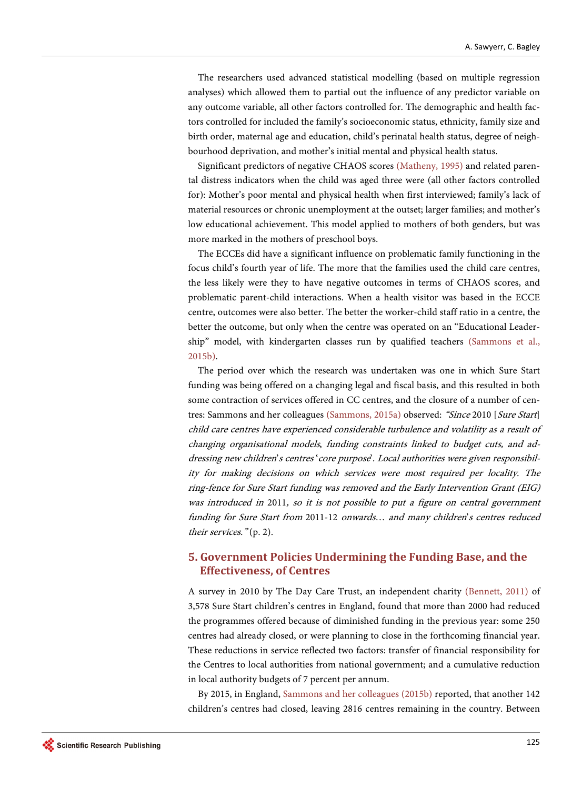The researchers used advanced statistical modelling (based on multiple regression analyses) which allowed them to partial out the influence of any predictor variable on any outcome variable, all other factors controlled for. The demographic and health factors controlled for included the family's socioeconomic status, ethnicity, family size and birth order, maternal age and education, child's perinatal health status, degree of neighbourhood deprivation, and mother's initial mental and physical health status.

Significant predictors of negative CHAOS scores [\(Matheny, 1995\)](#page-15-14) and related parental distress indicators when the child was aged three were (all other factors controlled for): Mother's poor mental and physical health when first interviewed; family's lack of material resources or chronic unemployment at the outset; larger families; and mother's low educational achievement. This model applied to mothers of both genders, but was more marked in the mothers of preschool boys.

The ECCEs did have a significant influence on problematic family functioning in the focus child's fourth year of life. The more that the families used the child care centres, the less likely were they to have negative outcomes in terms of CHAOS scores, and problematic parent-child interactions. When a health visitor was based in the ECCE centre, outcomes were also better. The better the worker-child staff ratio in a centre, the better the outcome, but only when the centre was operated on an "Educational Leadership" model, with kindergarten classes run by qualified teachers [\(Sammons et al.,](#page-16-14)  [2015b\).](#page-16-14)

The period over which the research was undertaken was one in which Sure Start funding was being offered on a changing legal and fiscal basis, and this resulted in both some contraction of services offered in CC centres, and the closure of a number of cen-tres: Sammons and her colleagues [\(Sammons, 2015a\)](#page-16-1) observed: "Since 2010 [Sure Start] child care centres have experienced considerable turbulence and volatility as a result of changing organisational models, funding constraints linked to budget cuts, and addressing new children's centres 'core purpose'. Local authorities were given responsibility for making decisions on which services were most required per locality. The ring-fence for Sure Start funding was removed and the Early Intervention Grant (EIG) was introduced in 2011, so it is not possible to put a figure on central government funding for Sure Start from 2011-12 onwards… and many children's centres reduced their services." (p. 2).

### **5. Government Policies Undermining the Funding Base, and the Effectiveness, of Centres**

A survey in 2010 by The Day Care Trust, an independent charity [\(Bennett, 2011\)](#page-14-14) of 3,578 Sure Start children's centres in England, found that more than 2000 had reduced the programmes offered because of diminished funding in the previous year: some 250 centres had already closed, or were planning to close in the forthcoming financial year. These reductions in service reflected two factors: transfer of financial responsibility for the Centres to local authorities from national government; and a cumulative reduction in local authority budgets of 7 percent per annum.

By 2015, in England, [Sammons and her colleagues \(2015b\)](#page-16-14) reported, that another 142 children's centres had closed, leaving 2816 centres remaining in the country. Between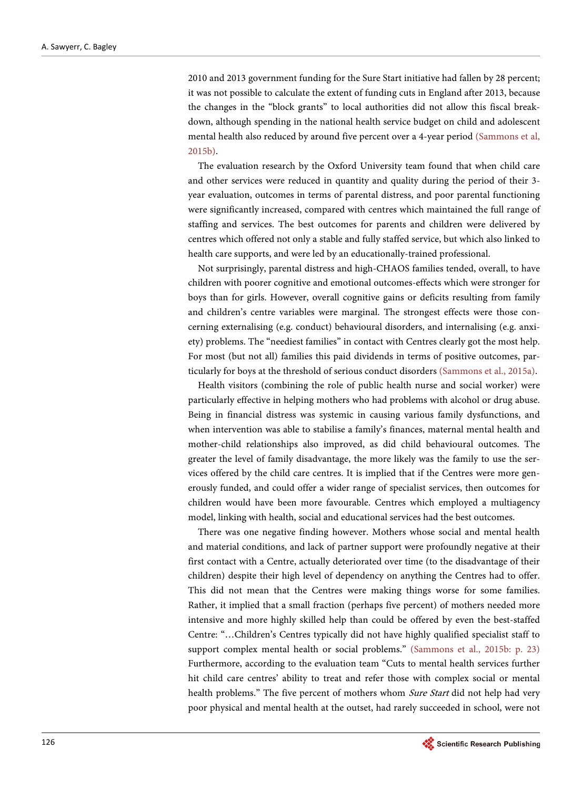2010 and 2013 government funding for the Sure Start initiative had fallen by 28 percent; it was not possible to calculate the extent of funding cuts in England after 2013, because the changes in the "block grants" to local authorities did not allow this fiscal breakdown, although spending in the national health service budget on child and adolescent mental health also reduced by around five percent over a 4-year period [\(Sammons et al,](#page-16-14)  [2015b\).](#page-16-14)

The evaluation research by the Oxford University team found that when child care and other services were reduced in quantity and quality during the period of their 3 year evaluation, outcomes in terms of parental distress, and poor parental functioning were significantly increased, compared with centres which maintained the full range of staffing and services. The best outcomes for parents and children were delivered by centres which offered not only a stable and fully staffed service, but which also linked to health care supports, and were led by an educationally-trained professional.

Not surprisingly, parental distress and high-CHAOS families tended, overall, to have children with poorer cognitive and emotional outcomes-effects which were stronger for boys than for girls. However, overall cognitive gains or deficits resulting from family and children's centre variables were marginal. The strongest effects were those concerning externalising (e.g. conduct) behavioural disorders, and internalising (e.g. anxiety) problems. The "neediest families" in contact with Centres clearly got the most help. For most (but not all) families this paid dividends in terms of positive outcomes, particularly for boys at the threshold of serious conduct disorders [\(Sammons et al., 2015a\).](#page-16-1)

Health visitors (combining the role of public health nurse and social worker) were particularly effective in helping mothers who had problems with alcohol or drug abuse. Being in financial distress was systemic in causing various family dysfunctions, and when intervention was able to stabilise a family's finances, maternal mental health and mother-child relationships also improved, as did child behavioural outcomes. The greater the level of family disadvantage, the more likely was the family to use the services offered by the child care centres. It is implied that if the Centres were more generously funded, and could offer a wider range of specialist services, then outcomes for children would have been more favourable. Centres which employed a multiagency model, linking with health, social and educational services had the best outcomes.

There was one negative finding however. Mothers whose social and mental health and material conditions, and lack of partner support were profoundly negative at their first contact with a Centre, actually deteriorated over time (to the disadvantage of their children) despite their high level of dependency on anything the Centres had to offer. This did not mean that the Centres were making things worse for some families. Rather, it implied that a small fraction (perhaps five percent) of mothers needed more intensive and more highly skilled help than could be offered by even the best-staffed Centre: "…Children's Centres typically did not have highly qualified specialist staff to support complex mental health or social problems." [\(Sammons et al., 2015b:](#page-16-14) p. 23) Furthermore, according to the evaluation team "Cuts to mental health services further hit child care centres' ability to treat and refer those with complex social or mental health problems." The five percent of mothers whom Sure Start did not help had very poor physical and mental health at the outset, had rarely succeeded in school, were not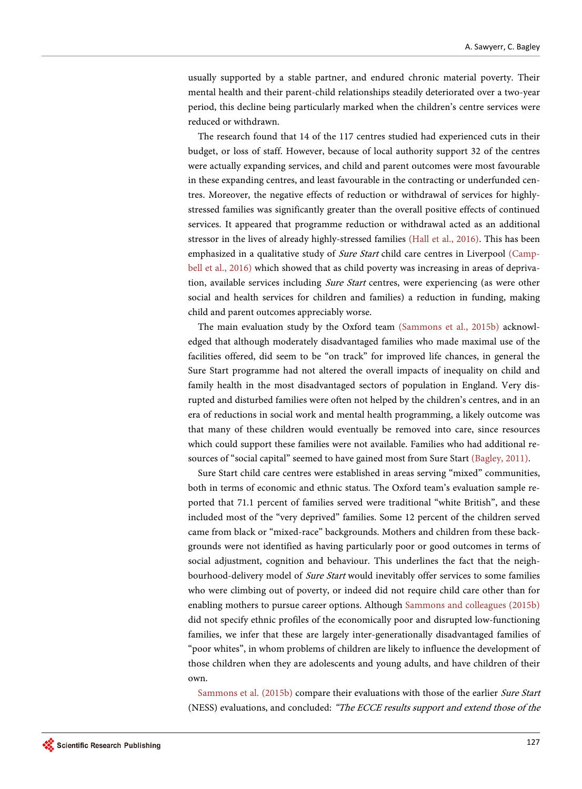usually supported by a stable partner, and endured chronic material poverty. Their mental health and their parent-child relationships steadily deteriorated over a two-year period, this decline being particularly marked when the children's centre services were reduced or withdrawn.

The research found that 14 of the 117 centres studied had experienced cuts in their budget, or loss of staff. However, because of local authority support 32 of the centres were actually expanding services, and child and parent outcomes were most favourable in these expanding centres, and least favourable in the contracting or underfunded centres. Moreover, the negative effects of reduction or withdrawal of services for highlystressed families was significantly greater than the overall positive effects of continued services. It appeared that programme reduction or withdrawal acted as an additional stressor in the lives of already highly-stressed families [\(Hall et al., 2016\).](#page-15-15) This has been emphasized in a qualitative study of Sure Start child care centres in Liverpool [\(Camp](#page-14-15)[bell et al., 2016\)](#page-14-15) which showed that as child poverty was increasing in areas of deprivation, available services including Sure Start centres, were experiencing (as were other social and health services for children and families) a reduction in funding, making child and parent outcomes appreciably worse.

The main evaluation study by the Oxford team [\(Sammons et al., 2015b\)](#page-16-14) acknowledged that although moderately disadvantaged families who made maximal use of the facilities offered, did seem to be "on track" for improved life chances, in general the Sure Start programme had not altered the overall impacts of inequality on child and family health in the most disadvantaged sectors of population in England. Very disrupted and disturbed families were often not helped by the children's centres, and in an era of reductions in social work and mental health programming, a likely outcome was that many of these children would eventually be removed into care, since resources which could support these families were not available. Families who had additional resources of "social capital" seemed to have gained most from Sure Star[t \(Bagley, 2011\).](#page-13-6)

Sure Start child care centres were established in areas serving "mixed" communities, both in terms of economic and ethnic status. The Oxford team's evaluation sample reported that 71.1 percent of families served were traditional "white British", and these included most of the "very deprived" families. Some 12 percent of the children served came from black or "mixed-race" backgrounds. Mothers and children from these backgrounds were not identified as having particularly poor or good outcomes in terms of social adjustment, cognition and behaviour. This underlines the fact that the neighbourhood-delivery model of Sure Start would inevitably offer services to some families who were climbing out of poverty, or indeed did not require child care other than for enabling mothers to pursue career options. Although Sammons [and colleagues \(2015b\)](#page-16-14) did not specify ethnic profiles of the economically poor and disrupted low-functioning families, we infer that these are largely inter-generationally disadvantaged families of "poor whites", in whom problems of children are likely to influence the development of those children when they are adolescents and young adults, and have children of their own.

[Sammons et al. \(2015b\)](#page-16-14) compare their evaluations with those of the earlier Sure Start (NESS) evaluations, and concluded: "The ECCE results support and extend those of the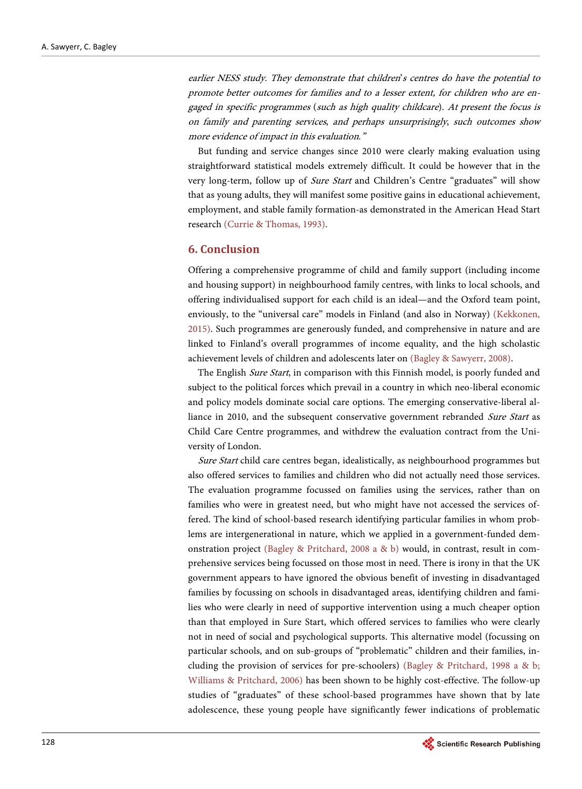earlier NESS study. They demonstrate that children's centres do have the potential to promote better outcomes for families and to a lesser extent, for children who are engaged in specific programmes (such as high quality childcare). At present the focus is on family and parenting services, and perhaps unsurprisingly, such outcomes show more evidence of impact in this evaluation."

But funding and service changes since 2010 were clearly making evaluation using straightforward statistical models extremely difficult. It could be however that in the very long-term, follow up of *Sure Start* and Children's Centre "graduates" will show that as young adults, they will manifest some positive gains in educational achievement, employment, and stable family formation-as demonstrated in the American Head Start research (Currie & [Thomas, 1993\).](#page-14-8)

#### **6. Conclusion**

Offering a comprehensive programme of child and family support (including income and housing support) in neighbourhood family centres, with links to local schools, and offering individualised support for each child is an ideal—and the Oxford team point, enviously, to the "universal care" models in Finland (and also in Norway) [\(Kekkonen,](#page-15-16)  [2015\).](#page-15-16) Such programmes are generously funded, and comprehensive in nature and are linked to Finland's overall programmes of income equality, and the high scholastic achievement levels of children and adolescents later on [\(Bagley & Sawyerr, 2008\).](#page-13-1)

The English *Sure Start*, in comparison with this Finnish model, is poorly funded and subject to the political forces which prevail in a country in which neo-liberal economic and policy models dominate social care options. The emerging conservative-liberal alliance in 2010, and the subsequent conservative government rebranded Sure Start as Child Care Centre programmes, and withdrew the evaluation contract from the University of London.

Sure Start child care centres began, idealistically, as neighbourhood programmes but also offered services to families and children who did not actually need those services. The evaluation programme focussed on families using the services, rather than on families who were in greatest need, but who might have not accessed the services offered. The kind of school-based research identifying particular families in whom problems are intergenerational in nature, which we applied in a government-funded demonstration project [\(Bagley & Pritchard, 2008 a](#page-13-1) & b) would, in contrast, result in comprehensive services being focussed on those most in need. There is irony in that the UK government appears to have ignored the obvious benefit of investing in disadvantaged families by focussing on schools in disadvantaged areas, identifying children and families who were clearly in need of supportive intervention using a much cheaper option than that employed in Sure Start, which offered services to families who were clearly not in need of social and psychological supports. This alternative model (focussing on particular schools, and on sub-groups of "problematic" children and their families, including the provision of services for pre-schoolers) [\(Bagley & Pritchard,](#page-13-7) 1998 a & b; [Williams & Pritchard, 2006\)](#page-16-15) has been shown to be highly cost-effective. The follow-up studies of "graduates" of these school-based programmes have shown that by late adolescence, these young people have significantly fewer indications of problematic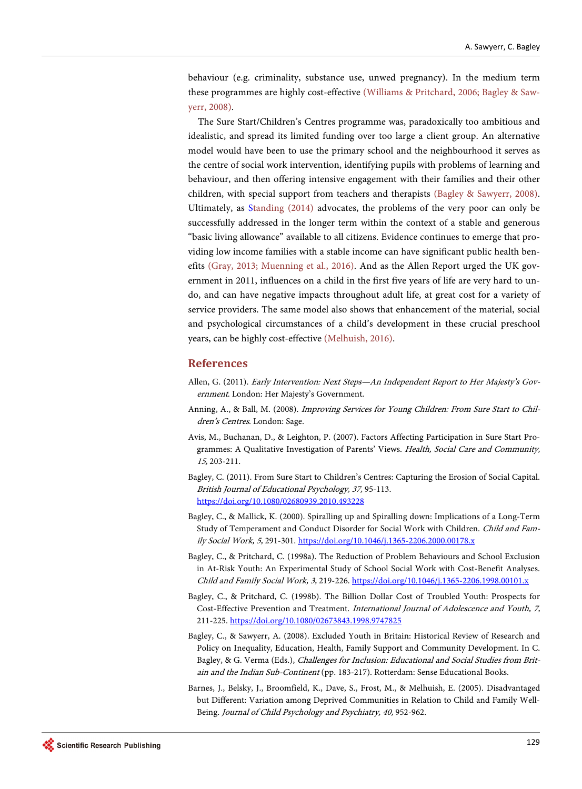behaviour (e.g. criminality, substance use, unwed pregnancy). In the medium term these programmes are highly cost-effective [\(Williams & Pritchard, 2006;](#page-16-15) [Bagley & Saw](#page-13-1)[yerr, 2008\).](#page-13-1)

The Sure Start/Children's Centres programme was, paradoxically too ambitious and idealistic, and spread its limited funding over too large a client group. An alternative model would have been to use the primary school and the neighbourhood it serves as the centre of social work intervention, identifying pupils with problems of learning and behaviour, and then offering intensive engagement with their families and their other children, with special support from teachers and therapists [\(Bagley & Sawyerr, 2008\).](#page-13-1)  Ultimately, as [Standing \(2014\)](#page-16-16) advocates, the problems of the very poor can only be successfully addressed in the longer term within the context of a stable and generous "basic living allowance" available to all citizens. Evidence continues to emerge that providing low income families with a stable income can have significant public health benefits [\(Gray, 2013;](#page-15-17) [Muenning et al., 2016\).](#page-16-17) And as the Allen Report urged the UK government in 2011, influences on a child in the first five years of life are very hard to undo, and can have negative impacts throughout adult life, at great cost for a variety of service providers. The same model also shows that enhancement of the material, social and psychological circumstances of a child's development in these crucial preschool years, can be highly cost-effective [\(Melhuish, 2016\).](#page-16-18)

#### **References**

- <span id="page-13-0"></span>Allen, G. (2011). Early Intervention: Next Steps—An Independent Report to Her Majesty's Government. London: Her Majesty's Government.
- <span id="page-13-3"></span>Anning, A., & Ball, M. (2008). Improving Services for Young Children: From Sure Start to Children's Centres. London: Sage.
- <span id="page-13-4"></span>Avis, M., Buchanan, D., & Leighton, P. (2007). Factors Affecting Participation in Sure Start Programmes: A Qualitative Investigation of Parents' Views. Health, Social Care and Community, 15, 203-211.
- <span id="page-13-6"></span>Bagley, C. (2011). From Sure Start to Children's Centres: Capturing the Erosion of Social Capital. British Journal of Educational Psychology, 37, 95-113. <https://doi.org/10.1080/02680939.2010.493228>
- <span id="page-13-5"></span>Bagley, C., & Mallick, K. (2000). Spiralling up and Spiralling down: Implications of a Long-Term Study of Temperament and Conduct Disorder for Social Work with Children. Child and Family Social Work, 5, 291-301. <https://doi.org/10.1046/j.1365-2206.2000.00178.x>
- <span id="page-13-7"></span>Bagley, C., & Pritchard, C. (1998a). The Reduction of Problem Behaviours and School Exclusion in At-Risk Youth: An Experimental Study of School Social Work with Cost-Benefit Analyses. Child and Family Social Work, 3, 219-226. <https://doi.org/10.1046/j.1365-2206.1998.00101.x>
- Bagley, C., & Pritchard, C. (1998b). The Billion Dollar Cost of Troubled Youth: Prospects for Cost-Effective Prevention and Treatment. International Journal of Adolescence and Youth, 7, 211-225[. https://doi.org/10.1080/02673843.1998.9747825](https://doi.org/10.1080/02673843.1998.9747825)
- <span id="page-13-1"></span>Bagley, C., & Sawyerr, A. (2008). Excluded Youth in Britain: Historical Review of Research and Policy on Inequality, Education, Health, Family Support and Community Development. In C. Bagley, & G. Verma (Eds.), Challenges for Inclusion: Educational and Social Studies from Britain and the Indian Sub-Continent (pp. 183-217). Rotterdam: Sense Educational Books.
- <span id="page-13-2"></span>Barnes, J., Belsky, J., Broomfield, K., Dave, S., Frost, M., & Melhuish, E. (2005). Disadvantaged but Different: Variation among Deprived Communities in Relation to Child and Family Well-Being. Journal of Child Psychology and Psychiatry, 40, 952-962.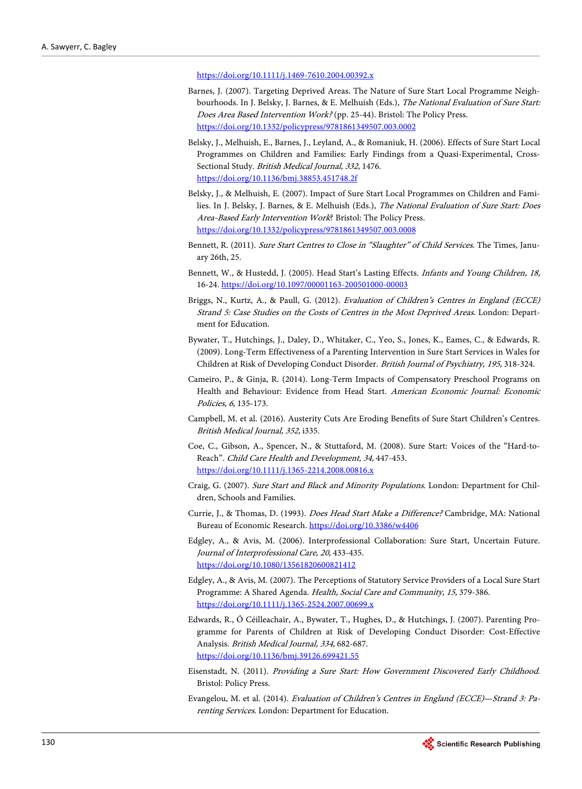#### <https://doi.org/10.1111/j.1469-7610.2004.00392.x>

- <span id="page-14-4"></span>Barnes, J. (2007). Targeting Deprived Areas. The Nature of Sure Start Local Programme Neighbourhoods. In J. Belsky, J. Barnes, & E. Melhuish (Eds.), The National Evaluation of Sure Start: Does Area Based Intervention Work? (pp. 25-44). Bristol: The Policy Press. <https://doi.org/10.1332/policypress/9781861349507.003.0002>
- <span id="page-14-2"></span>Belsky, J., Melhuish, E., Barnes, J., Leyland, A., & Romaniuk, H. (2006). Effects of Sure Start Local Programmes on Children and Families: Early Findings from a Quasi-Experimental, Cross-Sectional Study. British Medical Journal, 332, 1476. <https://doi.org/10.1136/bmj.38853.451748.2f>
- <span id="page-14-1"></span>Belsky, J., & Melhuish, E. (2007). Impact of Sure Start Local Programmes on Children and Families. In J. Belsky, J. Barnes, & E. Melhuish (Eds.), The National Evaluation of Sure Start: Does Area-Based Early Intervention Work? Bristol: The Policy Press. <https://doi.org/10.1332/policypress/9781861349507.003.0008>
- <span id="page-14-14"></span>Bennett, R. (2011). Sure Start Centres to Close in "Slaughter" of Child Services. The Times, January 26th, 25.
- <span id="page-14-9"></span>Bennett, W., & Hustedd, J. (2005). Head Start's Lasting Effects. Infants and Young Children, 18, 16-24. <https://doi.org/10.1097/00001163-200501000-00003>
- <span id="page-14-12"></span>Briggs, N., Kurtz, A., & Paull, G. (2012). Evaluation of Children's Centres in England (ECCE) Strand 5: Case Studies on the Costs of Centres in the Most Deprived Areas. London: Department for Education.
- <span id="page-14-11"></span>Bywater, T., Hutchings, J., Daley, D., Whitaker, C., Yeo, S., Jones, K., Eames, C., & Edwards, R. (2009). Long-Term Effectiveness of a Parenting Intervention in Sure Start Services in Wales for Children at Risk of Developing Conduct Disorder. British Journal of Psychiatry, 195, 318-324.
- <span id="page-14-10"></span>Cameiro, P., & Ginja, R. (2014). Long-Term Impacts of Compensatory Preschool Programs on Health and Behaviour: Evidence from Head Start. American Economic Journal: Economic Policies, 6, 135-173.
- <span id="page-14-15"></span>Campbell, M. et al. (2016). Austerity Cuts Are Eroding Benefits of Sure Start Children's Centres. British Medical Journal, 352, i335.
- <span id="page-14-5"></span>Coe, C., Gibson, A., Spencer, N., & Stuttaford, M. (2008). Sure Start: Voices of the "Hard-to-Reach". Child Care Health and Development, 34, 447-453. <https://doi.org/10.1111/j.1365-2214.2008.00816.x>
- <span id="page-14-6"></span>Craig, G. (2007). Sure Start and Black and Minority Populations. London: Department for Children, Schools and Families.
- <span id="page-14-8"></span>Currie, J., & Thomas, D. (1993). *Does Head Start Make a Difference?* Cambridge, MA: National Bureau of Economic Research. <https://doi.org/10.3386/w4406>
- <span id="page-14-3"></span>Edgley, A., & Avis, M. (2006). Interprofessional Collaboration: Sure Start, Uncertain Future. Journal of Interprofessional Care, 20, 433-435. <https://doi.org/10.1080/13561820600821412>
- Edgley, A., & Avis, M. (2007). The Perceptions of Statutory Service Providers of a Local Sure Start Programme: A Shared Agenda. Health, Social Care and Community, 15, 379-386. <https://doi.org/10.1111/j.1365-2524.2007.00699.x>
- <span id="page-14-7"></span>Edwards, R., Ó Céilleachair, A., Bywater, T., Hughes, D., & Hutchings, J. (2007). Parenting Programme for Parents of Children at Risk of Developing Conduct Disorder: Cost-Effective Analysis. British Medical Journal, 334, 682-687. <https://doi.org/10.1136/bmj.39126.699421.55>
- <span id="page-14-0"></span>Eisenstadt, N. (2011). Providing a Sure Start: How Government Discovered Early Childhood. Bristol: Policy Press.
- <span id="page-14-13"></span>Evangelou, M. et al. (2014). Evaluation of Children's Centres in England (ECCE)—Strand 3: Parenting Services. London: Department for Education.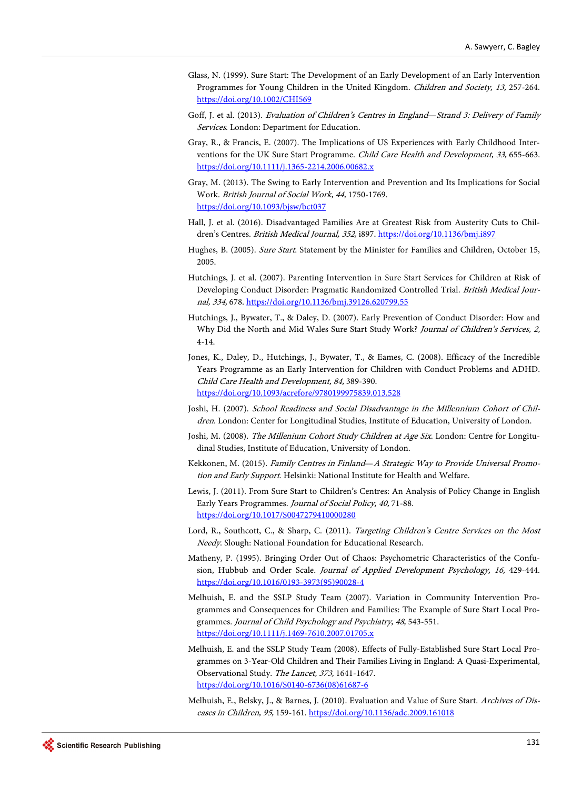- <span id="page-15-0"></span>Glass, N. (1999). Sure Start: The Development of an Early Development of an Early Intervention Programmes for Young Children in the United Kingdom. Children and Society, 13, 257-264. <https://doi.org/10.1002/CHI569>
- <span id="page-15-12"></span>Goff, J. et al. (2013). Evaluation of Children's Centres in England—Strand 3: Delivery of Family Services. London: Department for Education.
- <span id="page-15-6"></span>Gray, R., & Francis, E. (2007). The Implications of US Experiences with Early Childhood Interventions for the UK Sure Start Programme. Child Care Health and Development, 33, 655-663. <https://doi.org/10.1111/j.1365-2214.2006.00682.x>
- <span id="page-15-17"></span>Gray, M. (2013). The Swing to Early Intervention and Prevention and Its Implications for Social Work. British Journal of Social Work, 44, 1750-1769. <https://doi.org/10.1093/bjsw/bct037>
- <span id="page-15-15"></span>Hall, J. et al. (2016). Disadvantaged Families Are at Greatest Risk from Austerity Cuts to Children's Centres. British Medical Journal, 352, i897. <https://doi.org/10.1136/bmj.i897>
- <span id="page-15-1"></span>Hughes, B. (2005). Sure Start. Statement by the Minister for Families and Children, October 15, 2005.
- <span id="page-15-8"></span>Hutchings, J. et al. (2007). Parenting Intervention in Sure Start Services for Children at Risk of Developing Conduct Disorder: Pragmatic Randomized Controlled Trial. British Medical Journal, 334, 678[. https://doi.org/10.1136/bmj.39126.620799.55](https://doi.org/10.1136/bmj.39126.620799.55)
- <span id="page-15-9"></span>Hutchings, J., Bywater, T., & Daley, D. (2007). Early Prevention of Conduct Disorder: How and Why Did the North and Mid Wales Sure Start Study Work? Journal of Children's Services, 2, 4-14.
- <span id="page-15-10"></span>Jones, K., Daley, D., Hutchings, J., Bywater, T., & Eames, C. (2008). Efficacy of the Incredible Years Programme as an Early Intervention for Children with Conduct Problems and ADHD. Child Care Health and Development, 84, 389-390. <https://doi.org/10.1093/acrefore/9780199975839.013.528>
- <span id="page-15-2"></span>Joshi, H. (2007). School Readiness and Social Disadvantage in the Millennium Cohort of Children. London: Center for Longitudinal Studies, Institute of Education, University of London.
- <span id="page-15-3"></span>Joshi, M. (2008). The Millenium Cohort Study Children at Age Six. London: Centre for Longitudinal Studies, Institute of Education, University of London.
- <span id="page-15-16"></span>Kekkonen, M. (2015). Family Centres in Finland—A Strategic Way to Provide Universal Promotion and Early Support. Helsinki: National Institute for Health and Welfare.
- <span id="page-15-11"></span>Lewis, J. (2011). From Sure Start to Children's Centres: An Analysis of Policy Change in English Early Years Programmes. Journal of Social Policy, 40, 71-88. <https://doi.org/10.1017/S0047279410000280>
- <span id="page-15-13"></span>Lord, R., Southcott, C., & Sharp, C. (2011). Targeting Children's Centre Services on the Most Needy. Slough: National Foundation for Educational Research.
- <span id="page-15-14"></span>Matheny, P. (1995). Bringing Order Out of Chaos: Psychometric Characteristics of the Confusion, Hubbub and Order Scale. Journal of Applied Development Psychology, 16, 429-444. [https://doi.org/10.1016/0193-3973\(95\)90028-4](https://doi.org/10.1016/0193-3973(95)90028-4)
- <span id="page-15-4"></span>Melhuish, E. and the SSLP Study Team (2007). Variation in Community Intervention Programmes and Consequences for Children and Families: The Example of Sure Start Local Programmes. Journal of Child Psychology and Psychiatry, 48, 543-551. <https://doi.org/10.1111/j.1469-7610.2007.01705.x>
- <span id="page-15-7"></span>Melhuish, E. and the SSLP Study Team (2008). Effects of Fully-Established Sure Start Local Programmes on 3-Year-Old Children and Their Families Living in England: A Quasi-Experimental, Observational Study. The Lancet, 373, 1641-1647. [https://doi.org/10.1016/S0140-6736\(08\)61687-6](https://doi.org/10.1016/S0140-6736(08)61687-6)
- <span id="page-15-5"></span>Melhuish, E., Belsky, J., & Barnes, J. (2010). Evaluation and Value of Sure Start. Archives of Diseases in Children, 95, 159-161. <https://doi.org/10.1136/adc.2009.161018>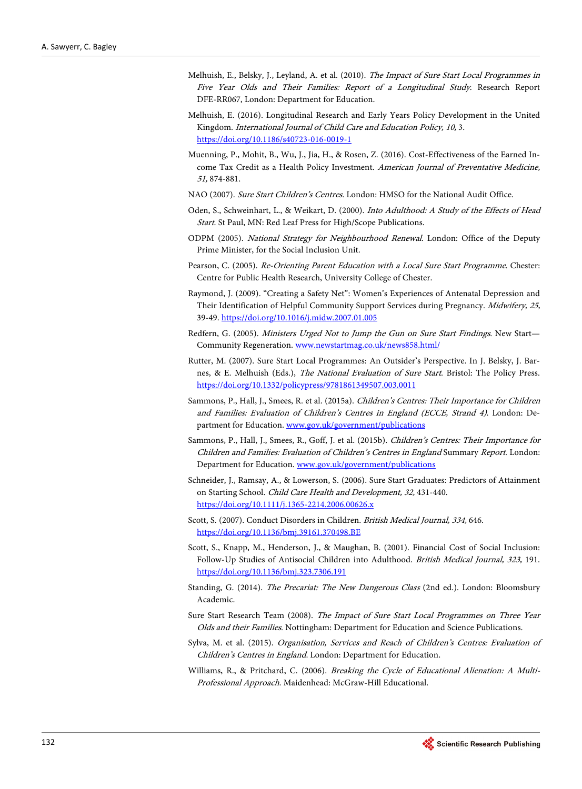- <span id="page-16-2"></span>Melhuish, E., Belsky, J., Leyland, A. et al. (2010). The Impact of Sure Start Local Programmes in Five Year Olds and Their Families: Report of a Longitudinal Study. Research Report DFE-RR067, London: Department for Education.
- <span id="page-16-18"></span>Melhuish, E. (2016). Longitudinal Research and Early Years Policy Development in the United Kingdom. International Journal of Child Care and Education Policy, 10, 3. <https://doi.org/10.1186/s40723-016-0019-1>
- <span id="page-16-17"></span>Muenning, P., Mohit, B., Wu, J., Jia, H., & Rosen, Z. (2016). Cost-Effectiveness of the Earned Income Tax Credit as a Health Policy Investment. American Journal of Preventative Medicine, 51, 874-881.
- <span id="page-16-9"></span>NAO (2007). Sure Start Children's Centres. London: HMSO for the National Audit Office.
- <span id="page-16-7"></span>Oden, S., Schweinhart, L., & Weikart, D. (2000). *Into Adulthood: A Study of the Effects of Head* Start. St Paul, MN: Red Leaf Press for High/Scope Publications.
- <span id="page-16-0"></span>ODPM (2005). National Strategy for Neighbourhood Renewal. London: Office of the Deputy Prime Minister, for the Social Inclusion Unit.
- <span id="page-16-4"></span>Pearson, C. (2005). Re-Orienting Parent Education with a Local Sure Start Programme. Chester: Centre for Public Health Research, University College of Chester.
- <span id="page-16-8"></span>Raymond, J. (2009). "Creating a Safety Net": Women's Experiences of Antenatal Depression and Their Identification of Helpful Community Support Services during Pregnancy. Midwifery, 25, 39-49. <https://doi.org/10.1016/j.midw.2007.01.005>
- <span id="page-16-6"></span>Redfern, G. (2005). Ministers Urged Not to Jump the Gun on Sure Start Findings. New Start-Community Regeneration. [www.newstartmag.co.uk/news858.html/](http://www.newstartmag.co.uk/news858.html/)
- <span id="page-16-10"></span>Rutter, M. (2007). Sure Start Local Programmes: An Outsider's Perspective. In J. Belsky, J. Barnes, & E. Melhuish (Eds.), The National Evaluation of Sure Start. Bristol: The Policy Press. <https://doi.org/10.1332/policypress/9781861349507.003.0011>
- <span id="page-16-1"></span>Sammons, P., Hall, J., Smees, R. et al. (2015a). Children's Centres: Their Importance for Children and Families: Evaluation of Children's Centres in England (ECCE, Strand 4). London: Department for Education. [www.gov.uk/government/publications](http://www.gov.uk/government/publications)
- <span id="page-16-14"></span>Sammons, P., Hall, J., Smees, R., Goff, J. et al. (2015b). Children's Centres: Their Importance for Children and Families: Evaluation of Children's Centres in England Summary Report. London: Department for Education. [www.gov.uk/government/publications](http://www.gov.uk/government/publications)
- <span id="page-16-5"></span>Schneider, J., Ramsay, A., & Lowerson, S. (2006). Sure Start Graduates: Predictors of Attainment on Starting School. Child Care Health and Development, 32, 431-440. <https://doi.org/10.1111/j.1365-2214.2006.00626.x>
- <span id="page-16-11"></span>Scott, S. (2007). Conduct Disorders in Children. British Medical Journal, 334, 646. <https://doi.org/10.1136/bmj.39161.370498.BE>
- <span id="page-16-12"></span>Scott, S., Knapp, M., Henderson, J., & Maughan, B. (2001). Financial Cost of Social Inclusion: Follow-Up Studies of Antisocial Children into Adulthood. British Medical Journal, 323, 191. <https://doi.org/10.1136/bmj.323.7306.191>
- <span id="page-16-16"></span>Standing, G. (2014). The Precariat: The New Dangerous Class (2nd ed.). London: Bloomsbury Academic.
- <span id="page-16-3"></span>Sure Start Research Team (2008). The Impact of Sure Start Local Programmes on Three Year Olds and their Families. Nottingham: Department for Education and Science Publications.
- <span id="page-16-13"></span>Sylva, M. et al. (2015). Organisation, Services and Reach of Children's Centres: Evaluation of Children's Centres in England. London: Department for Education.
- <span id="page-16-15"></span>Williams, R., & Pritchard, C. (2006). *Breaking the Cycle of Educational Alienation: A Multi-*Professional Approach. Maidenhead: McGraw-Hill Educational.